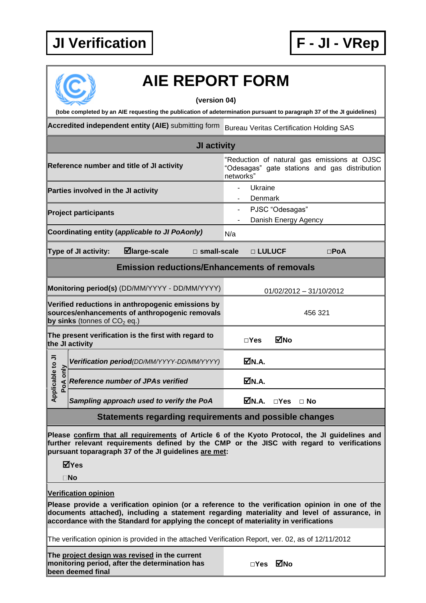

## **AIE REPORT FORM**

**(version 04)**

**(tobe completed by an AIE requesting the publication of adetermination pursuant to paragraph 37 of the JI guidelines)**

**Accredited independent entity (AIE)** submitting form Bureau Veritas Certification Holding SAS

| <b>JI activity</b>                                                                                                                    |  |                                            |  |                                                                                                           |                                         |               |           |            |  |
|---------------------------------------------------------------------------------------------------------------------------------------|--|--------------------------------------------|--|-----------------------------------------------------------------------------------------------------------|-----------------------------------------|---------------|-----------|------------|--|
| Reference number and title of JI activity                                                                                             |  |                                            |  | "Reduction of natural gas emissions at OJSC<br>"Odesagas" gate stations and gas distribution<br>networks" |                                         |               |           |            |  |
| Parties involved in the JI activity                                                                                                   |  |                                            |  |                                                                                                           | Ukraine<br>Denmark                      |               |           |            |  |
| <b>Project participants</b>                                                                                                           |  |                                            |  |                                                                                                           | PJSC "Odesagas"<br>Danish Energy Agency |               |           |            |  |
| Coordinating entity (applicable to JI PoAonly)                                                                                        |  |                                            |  | N/a                                                                                                       |                                         |               |           |            |  |
| $\boxdot$ large-scale<br>Type of JI activity:<br>$\square$ small-scale                                                                |  |                                            |  |                                                                                                           | □ LULUCF                                |               |           | $\Box$ PoA |  |
| <b>Emission reductions/Enhancements of removals</b>                                                                                   |  |                                            |  |                                                                                                           |                                         |               |           |            |  |
| Monitoring period(s) (DD/MM/YYYY - DD/MM/YYYY)                                                                                        |  |                                            |  |                                                                                                           | 01/02/2012 - 31/10/2012                 |               |           |            |  |
| Verified reductions in anthropogenic emissions by<br>sources/enhancements of anthropogenic removals<br>by sinks (tonnes of $CO2$ eq.) |  |                                            |  |                                                                                                           | 456 321                                 |               |           |            |  |
| The present verification is the first with regard to<br>the JI activity                                                               |  |                                            |  | $\square$ Yes                                                                                             | MNo                                     |               |           |            |  |
| Applicable to JI<br>PoA only                                                                                                          |  | Verification period(DD/MM/YYYY-DD/MM/YYYY) |  |                                                                                                           | MN.A.                                   |               |           |            |  |
|                                                                                                                                       |  | <b>Reference number of JPAs verified</b>   |  |                                                                                                           | ØN.A.                                   |               |           |            |  |
|                                                                                                                                       |  | Sampling approach used to verify the PoA   |  |                                                                                                           | MM.A.                                   | $\square$ Yes | $\Box$ No |            |  |

## **Statements regarding requirements and possible changes**

**Please confirm that all requirements of Article 6 of the Kyoto Protocol, the JI guidelines and further relevant requirements defined by the CMP or the JISC with regard to verifications pursuant toparagraph 37 of the JI guidelines are met:**

**Yes**

**No**

**Verification opinion**

**Please provide a verification opinion (or a reference to the verification opinion in one of the documents attached), including a statement regarding materiality and level of assurance, in accordance with the Standard for applying the concept of materiality in verifications**

The verification opinion is provided in the attached Verification Report, ver. 02, as of 12/11/2012

**The project design was revised in the current monitoring period, after the determination has been deemed final**

| ⊠No |
|-----|
|     |